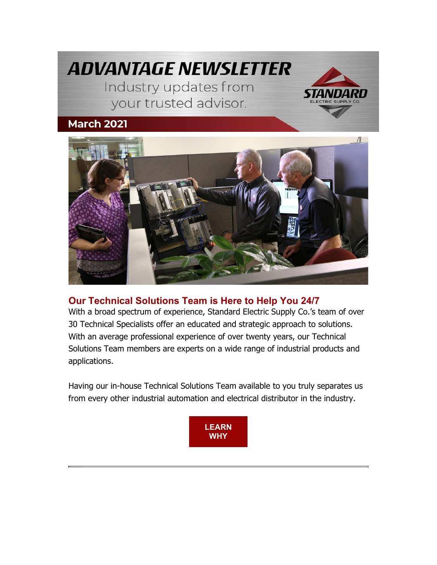



## **[Our Technical Solutions Team is Here to Help You 24/7](https://nam04.safelinks.protection.outlook.com/?url=https%3A%2F%2Finfo.standardelectricsupply.com%2Fe2t%2Ftc%2FVVHhLh95PmQSW5HRCs67kj76KW4dVnpw4pjwtpN97h0Hy3p_9LV1-WJV7CgCxcW3zhqPJ6K07z3N3pD3WX6Y1stN4Kpjbv1tJrGW72H-Qj5p1lxLW4bj-RB5hmf46W8t7Wzv8SkPyBW1bmd0X197h7LW7pm6Zl5W054KW821JtP6mfMG_W5hCcJW5RxvB7W3QwXpD6HBWpZW92BNc25hWfFtVddDhK2kDrxBW41Q8796y0w75W67Svcr6Z-3YdW37Vl2z50zhftW1yPns93nVvJKW5-RKfm2SpmYJW8cL7Wf6J64NRN8t8Qj9tW_H9W8yvx_x4NTs8fW2nJw_g18FDmRW1yh1Qt3fJZsVMXh9gmy4l8FW762tGQ8c1_kbW1L4yYG1SnBG8W7wQj5449RCVwVDzzGM6x0HPH3fT_1&data=04%7C01%7Cdgebelein%40standardelectricsupply.com%7Cb05172e6ba294162ebb408d8ea12ad6d%7C4b02a9df33c0464e84121b8c3bcfec3c%7C0%7C0%7C637516713236864036%7CUnknown%7CTWFpbGZsb3d8eyJWIjoiMC4wLjAwMDAiLCJQIjoiV2luMzIiLCJBTiI6Ik1haWwiLCJXVCI6Mn0%3D%7C1000&sdata=72m%2B00V%2Fe%2FcfiHOUqLjk65Cx%2Fyze86so%2Bh3D%2B9D37c0%3D&reserved=0)**

With a broad spectrum of experience, Standard Electric Supply Co.'s team of over 30 Technical Specialists offer an educated and strategic approach to solutions. With an average professional experience of over twenty years, our Technical Solutions Team members are experts on a wide range of industrial products and applications.

Having our in-house Technical Solutions Team available to you truly separates us from every other industrial automation and electrical distributor in the industry.

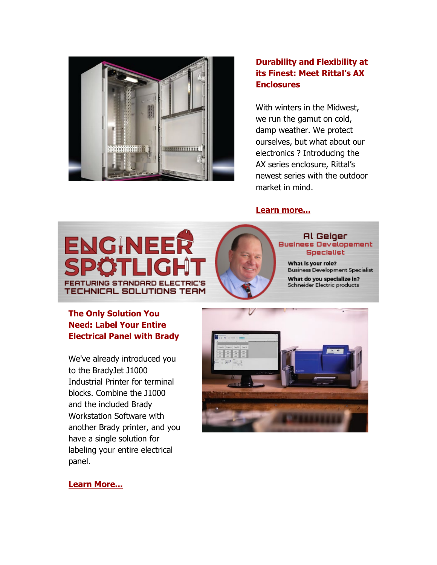

### **[Durability and Flexibility at](https://nam04.safelinks.protection.outlook.com/?url=https%3A%2F%2Finfo.standardelectricsupply.com%2Fe2t%2Ftc%2FVVHhLh95PmQSW5HRCs67kj76KW4dVnpw4pjwtpN97h0HS3p_b1V1-WJV7CgPk8W206bpB2QchXMW82z2zh5sxrcjW29ct-g3jWVvYW1lTMrF7F11QwW6x5JbW3p6tmVW5ZJz6v21nbDLW5LJ5XX67fxBqW1mqKzy8dwKzSW4zQrp43DzC1VW5Wx-xT8nVCC7W5qFQfy7XwC3YW60zMKZ59BlcSW1gKLbV99cBWwW1xXjB22PCjFFW2Hhrzy8kbRQbW6ShwXN5fCyPtW8KYNGn7byf42W7RL_-53kQ2HcW6P-Zfz3wYb8fW32pS697kY6kqW3kX1TG9g8nBnW1lmD3s7N9rh_VRgBMY6WFVv2W8xbTZd597M5WV_knnw3Z-CyvN4sD-qHzcgf5W2GHPNR7J5mpMW5fkQll3kVX9CW7DTgqr7sr5hdW2xlWGm94P51J39GK1&data=04%7C01%7Cdgebelein%40standardelectricsupply.com%7Cb05172e6ba294162ebb408d8ea12ad6d%7C4b02a9df33c0464e84121b8c3bcfec3c%7C0%7C0%7C637516713236884025%7CUnknown%7CTWFpbGZsb3d8eyJWIjoiMC4wLjAwMDAiLCJQIjoiV2luMzIiLCJBTiI6Ik1haWwiLCJXVCI6Mn0%3D%7C1000&sdata=ZQA2LmN9EfMfTsX7Z19C1OzK%2FSOo2zvoH0oZi9%2FyIRs%3D&reserved=0)  [its Finest: Meet Rittal's AX](https://nam04.safelinks.protection.outlook.com/?url=https%3A%2F%2Finfo.standardelectricsupply.com%2Fe2t%2Ftc%2FVVHhLh95PmQSW5HRCs67kj76KW4dVnpw4pjwtpN97h0HS3p_b1V1-WJV7CgPk8W206bpB2QchXMW82z2zh5sxrcjW29ct-g3jWVvYW1lTMrF7F11QwW6x5JbW3p6tmVW5ZJz6v21nbDLW5LJ5XX67fxBqW1mqKzy8dwKzSW4zQrp43DzC1VW5Wx-xT8nVCC7W5qFQfy7XwC3YW60zMKZ59BlcSW1gKLbV99cBWwW1xXjB22PCjFFW2Hhrzy8kbRQbW6ShwXN5fCyPtW8KYNGn7byf42W7RL_-53kQ2HcW6P-Zfz3wYb8fW32pS697kY6kqW3kX1TG9g8nBnW1lmD3s7N9rh_VRgBMY6WFVv2W8xbTZd597M5WV_knnw3Z-CyvN4sD-qHzcgf5W2GHPNR7J5mpMW5fkQll3kVX9CW7DTgqr7sr5hdW2xlWGm94P51J39GK1&data=04%7C01%7Cdgebelein%40standardelectricsupply.com%7Cb05172e6ba294162ebb408d8ea12ad6d%7C4b02a9df33c0464e84121b8c3bcfec3c%7C0%7C0%7C637516713236884025%7CUnknown%7CTWFpbGZsb3d8eyJWIjoiMC4wLjAwMDAiLCJQIjoiV2luMzIiLCJBTiI6Ik1haWwiLCJXVCI6Mn0%3D%7C1000&sdata=ZQA2LmN9EfMfTsX7Z19C1OzK%2FSOo2zvoH0oZi9%2FyIRs%3D&reserved=0)  [Enclosures](https://nam04.safelinks.protection.outlook.com/?url=https%3A%2F%2Finfo.standardelectricsupply.com%2Fe2t%2Ftc%2FVVHhLh95PmQSW5HRCs67kj76KW4dVnpw4pjwtpN97h0HS3p_b1V1-WJV7CgPk8W206bpB2QchXMW82z2zh5sxrcjW29ct-g3jWVvYW1lTMrF7F11QwW6x5JbW3p6tmVW5ZJz6v21nbDLW5LJ5XX67fxBqW1mqKzy8dwKzSW4zQrp43DzC1VW5Wx-xT8nVCC7W5qFQfy7XwC3YW60zMKZ59BlcSW1gKLbV99cBWwW1xXjB22PCjFFW2Hhrzy8kbRQbW6ShwXN5fCyPtW8KYNGn7byf42W7RL_-53kQ2HcW6P-Zfz3wYb8fW32pS697kY6kqW3kX1TG9g8nBnW1lmD3s7N9rh_VRgBMY6WFVv2W8xbTZd597M5WV_knnw3Z-CyvN4sD-qHzcgf5W2GHPNR7J5mpMW5fkQll3kVX9CW7DTgqr7sr5hdW2xlWGm94P51J39GK1&data=04%7C01%7Cdgebelein%40standardelectricsupply.com%7Cb05172e6ba294162ebb408d8ea12ad6d%7C4b02a9df33c0464e84121b8c3bcfec3c%7C0%7C0%7C637516713236884025%7CUnknown%7CTWFpbGZsb3d8eyJWIjoiMC4wLjAwMDAiLCJQIjoiV2luMzIiLCJBTiI6Ik1haWwiLCJXVCI6Mn0%3D%7C1000&sdata=ZQA2LmN9EfMfTsX7Z19C1OzK%2FSOo2zvoH0oZi9%2FyIRs%3D&reserved=0)**

With winters in the Midwest, we run the gamut on cold, damp weather. We protect ourselves, but what about our electronics ? Introducing the AX series enclosure, Rittal's newest series with the outdoor market in mind.

#### **[Learn more...](https://nam04.safelinks.protection.outlook.com/?url=https%3A%2F%2Finfo.standardelectricsupply.com%2Fe2t%2Ftc%2FVVHhLh95PmQSW5HRCs67kj76KW4dVnpw4pjwtpN97h0HS3p_b1V1-WJV7CgHRWW4S3NKw1WtfcSW2kFMR81g8cl0W2sb5R_136y6HVNHKj73L1zcfVtnkhD6nYmwvW9j0ywt8jrLyQN4wlxPYyNwvxW74kML6692v0DW50f7955QKYkwW6MVYcG8Wh6gcW4v2snJ1BjVVMN9bDdLYVWw0wW59DG4p8LlfMlW6WMrxm978WTQVS0jSl7qY7NdW8Tbdt04_VBq8N8g2blNhWHZ6W3xDHnw731qRSW67BXCH7VS00ZW6wqTLW8HxyjYN8kPW31t7HX_W7dfFwW57jfG3W15wCpQ3lZwqNN4TL1HPclRJ9W66nkSY1h9HNvW7vFngY441W_hN44Ml6fD6HTHW21vvqW46_k0jW89rfvs2RTPk2W57qZdy8dVz7634KQ1&data=04%7C01%7Cdgebelein%40standardelectricsupply.com%7Cb05172e6ba294162ebb408d8ea12ad6d%7C4b02a9df33c0464e84121b8c3bcfec3c%7C0%7C0%7C637516713236894019%7CUnknown%7CTWFpbGZsb3d8eyJWIjoiMC4wLjAwMDAiLCJQIjoiV2luMzIiLCJBTiI6Ik1haWwiLCJXVCI6Mn0%3D%7C1000&sdata=TwQB6T4LcWgykqqq%2Big081fcy4Gs1eXogIb6rfb%2BPxY%3D&reserved=0)**





#### **Al Geiger Business Developement Specialist**

What is your role? **Business Development Specialist** What do you specialize in? Schneider Electric products

### **[The Only Solution You](https://nam04.safelinks.protection.outlook.com/?url=https%3A%2F%2Finfo.standardelectricsupply.com%2Fe2t%2Ftc%2FVVHhLh95PmQSW5HRCs67kj76KW4dVnpw4pjwtpN97h0FN5nxG7V3Zsc37CgKLGW6Hmb5y5cs1C-W80Hp9V7VXfCPW2lJjyq4mSqH2N8ml1BkdZYFnW6h397-2kYgPDW15SNmN49FmDlW6fvXbs6GnHGfN6z-RdMXtg1ZW1l43477MxhCgW53XG0p7VK2JjW1jJJxd5kyt6yW21V5YL4hnqq9W60vWPL46cQJCF1wWlK6pVqpW9f-91_6V4_VqN3YrYQfzQ-nzW6_K_0C3JmgfmW76k4mP2zwZGyW8WQ6BF6MD7_LW4T4pF062SR-SW2byhQn8W4pbgW2r60l26KdntgW5HJ_X63ZssCKW8_LT1k63cqX1W18Q7Lx7jSP6GW1h8fW_41qLPsW92zyGt7CTKykN3QS5r_Z5yhMN301-bKYM0r5W2Wbq8L3b8dsLVzbDrJ51JkP5W6YKzr01rkXFj36lF1&data=04%7C01%7Cdgebelein%40standardelectricsupply.com%7Cb05172e6ba294162ebb408d8ea12ad6d%7C4b02a9df33c0464e84121b8c3bcfec3c%7C0%7C0%7C637516713236904019%7CUnknown%7CTWFpbGZsb3d8eyJWIjoiMC4wLjAwMDAiLCJQIjoiV2luMzIiLCJBTiI6Ik1haWwiLCJXVCI6Mn0%3D%7C1000&sdata=fXQATZ4qPRmUPSei0XZTA3lT9S96Pn4j4rF%2BRhIwuY8%3D&reserved=0)  [Need: Label Your Entire](https://nam04.safelinks.protection.outlook.com/?url=https%3A%2F%2Finfo.standardelectricsupply.com%2Fe2t%2Ftc%2FVVHhLh95PmQSW5HRCs67kj76KW4dVnpw4pjwtpN97h0FN5nxG7V3Zsc37CgKLGW6Hmb5y5cs1C-W80Hp9V7VXfCPW2lJjyq4mSqH2N8ml1BkdZYFnW6h397-2kYgPDW15SNmN49FmDlW6fvXbs6GnHGfN6z-RdMXtg1ZW1l43477MxhCgW53XG0p7VK2JjW1jJJxd5kyt6yW21V5YL4hnqq9W60vWPL46cQJCF1wWlK6pVqpW9f-91_6V4_VqN3YrYQfzQ-nzW6_K_0C3JmgfmW76k4mP2zwZGyW8WQ6BF6MD7_LW4T4pF062SR-SW2byhQn8W4pbgW2r60l26KdntgW5HJ_X63ZssCKW8_LT1k63cqX1W18Q7Lx7jSP6GW1h8fW_41qLPsW92zyGt7CTKykN3QS5r_Z5yhMN301-bKYM0r5W2Wbq8L3b8dsLVzbDrJ51JkP5W6YKzr01rkXFj36lF1&data=04%7C01%7Cdgebelein%40standardelectricsupply.com%7Cb05172e6ba294162ebb408d8ea12ad6d%7C4b02a9df33c0464e84121b8c3bcfec3c%7C0%7C0%7C637516713236904019%7CUnknown%7CTWFpbGZsb3d8eyJWIjoiMC4wLjAwMDAiLCJQIjoiV2luMzIiLCJBTiI6Ik1haWwiLCJXVCI6Mn0%3D%7C1000&sdata=fXQATZ4qPRmUPSei0XZTA3lT9S96Pn4j4rF%2BRhIwuY8%3D&reserved=0)  [Electrical Panel with Brady](https://nam04.safelinks.protection.outlook.com/?url=https%3A%2F%2Finfo.standardelectricsupply.com%2Fe2t%2Ftc%2FVVHhLh95PmQSW5HRCs67kj76KW4dVnpw4pjwtpN97h0FN5nxG7V3Zsc37CgKLGW6Hmb5y5cs1C-W80Hp9V7VXfCPW2lJjyq4mSqH2N8ml1BkdZYFnW6h397-2kYgPDW15SNmN49FmDlW6fvXbs6GnHGfN6z-RdMXtg1ZW1l43477MxhCgW53XG0p7VK2JjW1jJJxd5kyt6yW21V5YL4hnqq9W60vWPL46cQJCF1wWlK6pVqpW9f-91_6V4_VqN3YrYQfzQ-nzW6_K_0C3JmgfmW76k4mP2zwZGyW8WQ6BF6MD7_LW4T4pF062SR-SW2byhQn8W4pbgW2r60l26KdntgW5HJ_X63ZssCKW8_LT1k63cqX1W18Q7Lx7jSP6GW1h8fW_41qLPsW92zyGt7CTKykN3QS5r_Z5yhMN301-bKYM0r5W2Wbq8L3b8dsLVzbDrJ51JkP5W6YKzr01rkXFj36lF1&data=04%7C01%7Cdgebelein%40standardelectricsupply.com%7Cb05172e6ba294162ebb408d8ea12ad6d%7C4b02a9df33c0464e84121b8c3bcfec3c%7C0%7C0%7C637516713236904019%7CUnknown%7CTWFpbGZsb3d8eyJWIjoiMC4wLjAwMDAiLCJQIjoiV2luMzIiLCJBTiI6Ik1haWwiLCJXVCI6Mn0%3D%7C1000&sdata=fXQATZ4qPRmUPSei0XZTA3lT9S96Pn4j4rF%2BRhIwuY8%3D&reserved=0)**

We've already introduced you to the BradyJet J1000 Industrial Printer for terminal blocks. Combine the J1000 and the included Brady Workstation Software with another Brady printer, and you have a single solution for labeling your entire electrical panel.



**[Learn More...](https://nam04.safelinks.protection.outlook.com/?url=https%3A%2F%2Finfo.standardelectricsupply.com%2Fe2t%2Ftc%2FVVHhLh95PmQSW5HRCs67kj76KW4dVnpw4pjwtpN97h0FN5nxG7V3Zsc37CgW-mW4ZSxH_9d_Fy-W97p1Wj26xdJbVfzTPN9kcgCWW51ysct4BkBcQVZ8CYC35Hnf6W9jGFz72GcfpDW5NYTwR17Q6QKW6ShK9f2GvtW5W6D15kF8qqGHPW2X9c5b8fXWv3Vz9blh6QvyxpV9G8-N345YPcW1cMbLN2_B4qfW6QWnsM6Yw2r_N6j2mxkMqxjnW7Xd1lG2rnYhDW32whRh66TmkGW6-n5d288rYHlW2TqqsQ6Rc3ffN7jWptmFsQtjW5ywT5L14JSqxW8hjD8L2NqSn-W3h-sDx6KjbcNW4ZhCNj62TVN3W6Tff-k8VLLNmW5kWL4148TlQ7W4Qy6xy2FT1lWVsTKNB8W6pGPW59mjD86xTGPHW3l5Xp-2-vff1N4dYcbkkF8NRW7Jxr0Q2HvRtW32w81&data=04%7C01%7Cdgebelein%40standardelectricsupply.com%7Cb05172e6ba294162ebb408d8ea12ad6d%7C4b02a9df33c0464e84121b8c3bcfec3c%7C0%7C0%7C637516713236914007%7CUnknown%7CTWFpbGZsb3d8eyJWIjoiMC4wLjAwMDAiLCJQIjoiV2luMzIiLCJBTiI6Ik1haWwiLCJXVCI6Mn0%3D%7C1000&sdata=qYR0bxuOnz3oOiDyL3UMxPlZ8lBgkVyb8d5IZGgFuio%3D&reserved=0)**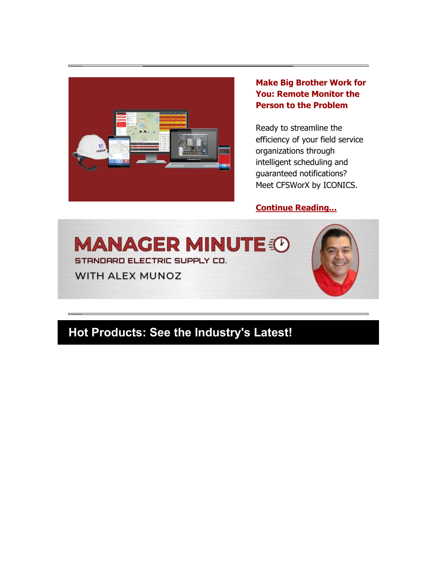

#### **[Make Big Brother Work for](https://nam04.safelinks.protection.outlook.com/?url=https%3A%2F%2Finfo.standardelectricsupply.com%2Fe2t%2Ftc%2FVVHhLh95PmQSW5HRCs67kj76KW4dVnpw4pjwtpN97h0Hy3p_9LV1-WJV7CgXDLW2yn8t48dzl4JW8tDHMg1cJxwhW1gtfjj1xgxL0W70p3rf3zNdtMW4BwMDT6TmX9RW7NNn665RS762W5L1rbf48lTDTW5xBZN22xJ-C5W1qyp0M5849XhW564vvJ8lmgxXW5M-rjR1JXc6wW5gyq171yFzpXW3rxRD_6ZB1hNW3l9dNh2_L903W5h66k-23WMFWW2XK2q74t2412W3fjBZ-5fZ_W6W45Pk0r3rJZZvW6ryPVs7CqPq2W1x5fwr6crZPzW1HyR_c55b98bW44YMdT6gCLb8W6XNj341NVnNQW87TBPJ4bC8GKW4ss-2G1tW4jZVRNk853RC6sRW7KBZ5x48tHKYW3S5QRV1ys2tK2Fd1&data=04%7C01%7Cdgebelein%40standardelectricsupply.com%7Cb05172e6ba294162ebb408d8ea12ad6d%7C4b02a9df33c0464e84121b8c3bcfec3c%7C0%7C0%7C637516713236933997%7CUnknown%7CTWFpbGZsb3d8eyJWIjoiMC4wLjAwMDAiLCJQIjoiV2luMzIiLCJBTiI6Ik1haWwiLCJXVCI6Mn0%3D%7C1000&sdata=eZlhrwkI4WuxSJ%2FVxykKm383GJGsrxrd6CKULpbCEMQ%3D&reserved=0)  [You: Remote Monitor the](https://nam04.safelinks.protection.outlook.com/?url=https%3A%2F%2Finfo.standardelectricsupply.com%2Fe2t%2Ftc%2FVVHhLh95PmQSW5HRCs67kj76KW4dVnpw4pjwtpN97h0Hy3p_9LV1-WJV7CgXDLW2yn8t48dzl4JW8tDHMg1cJxwhW1gtfjj1xgxL0W70p3rf3zNdtMW4BwMDT6TmX9RW7NNn665RS762W5L1rbf48lTDTW5xBZN22xJ-C5W1qyp0M5849XhW564vvJ8lmgxXW5M-rjR1JXc6wW5gyq171yFzpXW3rxRD_6ZB1hNW3l9dNh2_L903W5h66k-23WMFWW2XK2q74t2412W3fjBZ-5fZ_W6W45Pk0r3rJZZvW6ryPVs7CqPq2W1x5fwr6crZPzW1HyR_c55b98bW44YMdT6gCLb8W6XNj341NVnNQW87TBPJ4bC8GKW4ss-2G1tW4jZVRNk853RC6sRW7KBZ5x48tHKYW3S5QRV1ys2tK2Fd1&data=04%7C01%7Cdgebelein%40standardelectricsupply.com%7Cb05172e6ba294162ebb408d8ea12ad6d%7C4b02a9df33c0464e84121b8c3bcfec3c%7C0%7C0%7C637516713236933997%7CUnknown%7CTWFpbGZsb3d8eyJWIjoiMC4wLjAwMDAiLCJQIjoiV2luMzIiLCJBTiI6Ik1haWwiLCJXVCI6Mn0%3D%7C1000&sdata=eZlhrwkI4WuxSJ%2FVxykKm383GJGsrxrd6CKULpbCEMQ%3D&reserved=0)  [Person to the Problem](https://nam04.safelinks.protection.outlook.com/?url=https%3A%2F%2Finfo.standardelectricsupply.com%2Fe2t%2Ftc%2FVVHhLh95PmQSW5HRCs67kj76KW4dVnpw4pjwtpN97h0Hy3p_9LV1-WJV7CgXDLW2yn8t48dzl4JW8tDHMg1cJxwhW1gtfjj1xgxL0W70p3rf3zNdtMW4BwMDT6TmX9RW7NNn665RS762W5L1rbf48lTDTW5xBZN22xJ-C5W1qyp0M5849XhW564vvJ8lmgxXW5M-rjR1JXc6wW5gyq171yFzpXW3rxRD_6ZB1hNW3l9dNh2_L903W5h66k-23WMFWW2XK2q74t2412W3fjBZ-5fZ_W6W45Pk0r3rJZZvW6ryPVs7CqPq2W1x5fwr6crZPzW1HyR_c55b98bW44YMdT6gCLb8W6XNj341NVnNQW87TBPJ4bC8GKW4ss-2G1tW4jZVRNk853RC6sRW7KBZ5x48tHKYW3S5QRV1ys2tK2Fd1&data=04%7C01%7Cdgebelein%40standardelectricsupply.com%7Cb05172e6ba294162ebb408d8ea12ad6d%7C4b02a9df33c0464e84121b8c3bcfec3c%7C0%7C0%7C637516713236933997%7CUnknown%7CTWFpbGZsb3d8eyJWIjoiMC4wLjAwMDAiLCJQIjoiV2luMzIiLCJBTiI6Ik1haWwiLCJXVCI6Mn0%3D%7C1000&sdata=eZlhrwkI4WuxSJ%2FVxykKm383GJGsrxrd6CKULpbCEMQ%3D&reserved=0)**

Ready to streamline the efficiency of your field service organizations through intelligent scheduling and guaranteed notifications? Meet CFSWorX by ICONICS.

#### **[Continue Reading...](https://nam04.safelinks.protection.outlook.com/?url=https%3A%2F%2Finfo.standardelectricsupply.com%2Fe2t%2Ftc%2FVVHhLh95PmQSW5HRCs67kj76KW4dVnpw4pjwtpN97h0Hy3p_9LV1-WJV7CgS0WN8Cjh6D7VsXWV5MXYn3jzKmFW4p1x_L2m-f6MW7LMJBC1sR6zBW7z9vRp6c81_pW67lC-x1zdscTW7S1HDw2ctGWJW6gGmJq1Fmhp9W7n46fK4dR9D-W44RshW8j1RXhW6QTMCl8r5Cd2W8_-Vzt7g42pbW8X89qt5436zkW3FvtPd23tvZtW6X94Gl7gvY7LW2P16fh86xdqJW20ltfk7bLmhXW7fST9-6NbjDxN6Y6CN4yqvqQW3-sMsQ1cK38rW80n_lq1bNCLrW7W0ZFF3yLHK-W4jLwhz6lDrXCW5g5SJ27xMqphW31Rpv93_6fphW3pFvtc7_39smW6lM7Gv2ckPwHN5nb4NQYWgP13fMw1&data=04%7C01%7Cdgebelein%40standardelectricsupply.com%7Cb05172e6ba294162ebb408d8ea12ad6d%7C4b02a9df33c0464e84121b8c3bcfec3c%7C0%7C0%7C637516713236933997%7CUnknown%7CTWFpbGZsb3d8eyJWIjoiMC4wLjAwMDAiLCJQIjoiV2luMzIiLCJBTiI6Ik1haWwiLCJXVCI6Mn0%3D%7C1000&sdata=orrgm4lCdJREPCR1cSI3yTxfHX6C8m8AVEco3jIzx%2F8%3D&reserved=0)**



# **Hot Products: See the Industry's Latest!**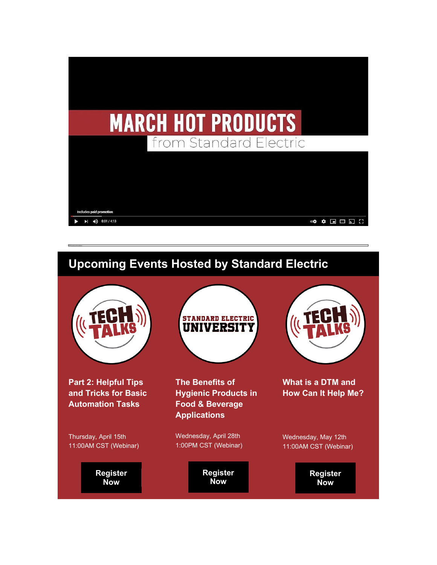

# **Upcoming Events Hosted by Standard Electric**